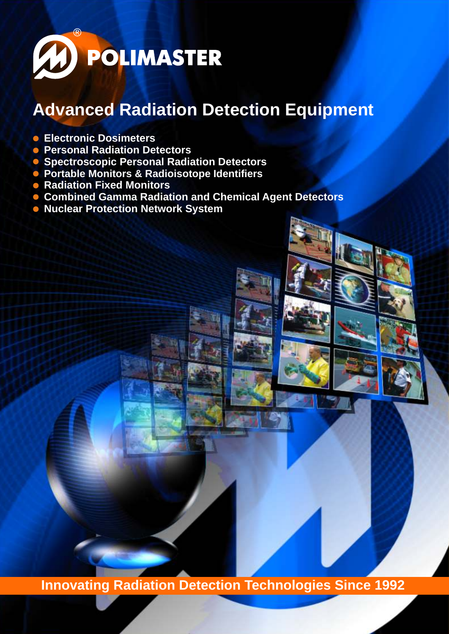

# **Advanced Radiation Detection Equipment**

- **Electronic Dosimeters**
- **Personal Radiation Detectors**
- **Spectroscopic Personal Radiation Detectors**
- **Portable Monitors & Radioisotope Identifiers**
- **Radiation Fixed Monitors**
- **Combined Gamma Radiation and Chemical Agent Detectors**
- **Nuclear Protection Network System**

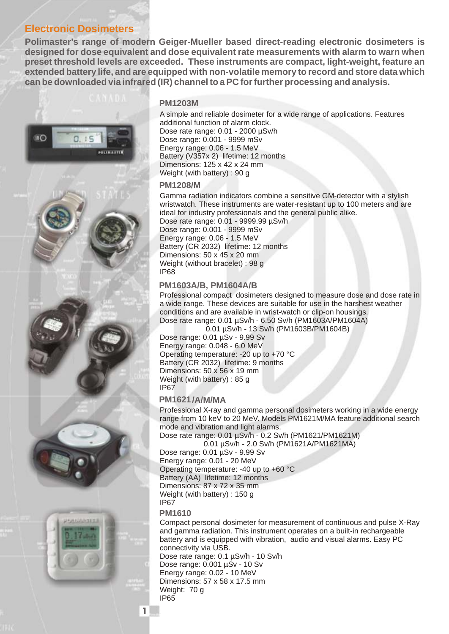# **Electronic Dosimeters**

**Polimaster's range of modern Geiger-Mueller based direct-reading electronic dosimeters is designed for dose equivalent and dose equivalent rate measurements with alarm to warn when preset threshold levels are exceeded. These instruments are compact, light-weight, feature an extended battery life, and are equipped with non-volatile memory to record and store data which can be downloaded via infrared (IR) channel to a PC for further processing and analysis.** 



### **PM1203M**

A simple and reliable dosimeter for a wide range of applications. Features additional function of alarm clock. Dose rate range: 0.01 - 2000 µSv/h Dose range: 0.001 - 9999 mSv Energy range: 0.06 - 1.5 MeV Battery (V357x 2) lifetime: 12 months Dimensions: 125 x 42 x 24 mm Weight (with battery) : 90 g

**1208/** 

Gamma radiation indicators combine a sensitive GM-detector with a stylish wristwatch. These instruments are water-resistant up to 100 meters and are ideal for industry professionals and the general public alike. Dose rate range: 0.01 - 9999.99 µSv/h Dose range: 0.001 - 9999 mSv Energy range: 0.06 - 1.5 MeV Battery (CR 2032) lifetime: 12 months Dimensions: 50 x 45 x 20 mm Weight (without bracelet) : 98 g IP68

**1603** / , 1604 /

Professional compact dosimeters designed to measure dose and dose rate in a wide range. These devices are suitable for use in the harshest weather conditions and are available in wrist-watch or clip-on housings. Dose rate range: 0.01 µSv/h - 6.50 Sv/h (PM1603A/PM1604A)

 0.01 µSv/h - 13 Sv/h (PM1603B/PM1604B) Dose range: 0.01 µSv - 9.99 Sv

Energy range: 0.048 - 6.0 MeV Operating temperature: -20 up to +70 °C Battery (CR 2032) lifetime: 9 months Dimensions: 50 x 56 x 19 mm Weight (with battery) : 85 g IP67

1621/*II* 

Professional X-ray and gamma personal dosimeters working in a wide energy range from 10 keV to 20 MeV. Models PM1621M/MA feature additional search mode and vibration and light alarms.

Dose rate range: 0.01 µSv/h - 0.2 Sv/h (PM1621/PM1621M) 0.01 µSv/h - 2.0 Sv/h (PM1621A/PM1621MA)

Dose range: 0.01 µSv - 9.99 Sv Energy range: 0.01 - 20 MeV Operating temperature: -40 up to +60 °C Battery (AA) lifetime: 12 months Dimensions: 87 x 72 x 35 mm Weight (with battery) : 150 g IP67

### **P 1610**

Compact personal dosimeter for measurement of continuous and pulse X-Ray and gamma radiation. This instrument operates on a built-in rechargeable battery and is equipped with vibration, audio and visual alarms. Easy PC connectivity via USB.

Dose rate range: 0.1 µSv/h - 10 Sv/h Dose range: 0.001 µSv - 10 Sv Energy range: 0.02 - 10 MeV Dimensions: 57 x 58 x 17.5 mm Weight: 70 g  $\overline{1}$  65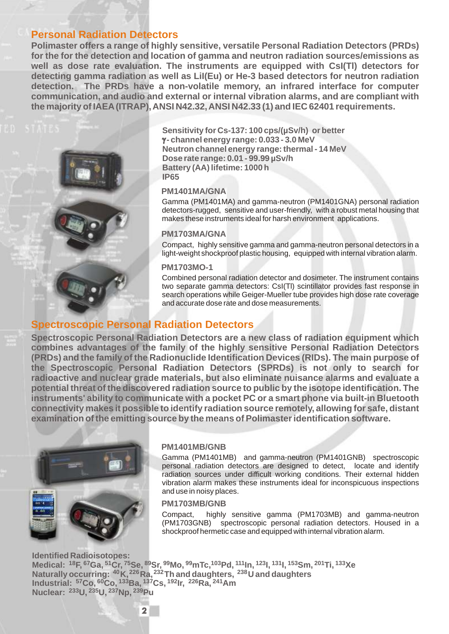### **Personal Radiation Detectors**

**Polimaster offers a range of highly sensitive, versatile Personal Radiation Detectors (PRDs) for the for the detection and location of gamma and neutron radiation sources/emissions as well as dose rate evaluation. The instruments are equipped with CsI(Tl) detectors for detecting gamma radiation as well as LiI(Eu) or He-3 based detectors for neutron radiation detection. The PRDs have a non-volatile memory, an infrared interface for computer communication, and audio and external or internal vibration alarms, and are compliant with the majority of IAEA (ITRAP), ANSI N42.32, ANSI N42.33 (1) and IEC 62401 requirements.** 



**Sensitivity for Cs-137: 100 cps/(µSv/h) or better**  $\gamma$ **-channel energy range: 0.033 - 3.0 MeV Neutron channel energy range: thermal - 14 MeV Dose rate range: 0.01 - 99.99 µSv/h Battery (AA) lifetime: 1000 h IР65**

#### **М1401MA/GNA**

Gamma (PM1401MA) and gamma-neutron (PM1401GNA) personal radiation detectors-rugged, sensitive and user-friendly, with a robust metal housing that makes these instruments ideal for harsh environment applications.

1703 /GNA

Compact, highly sensitive gamma and gamma-neutron personal detectors in a light-weight shockproof plastic housing, equipped with internal vibration alarm.

#### 1703 -1

Combined personal radiation detector and dosimeter. The instrument contains two separate gamma detectors: CsI(Tl) scintillator provides fast response in search operations while Geiger-Mueller tube provides high dose rate coverage and accurate dose rate and dose measurements.

### **Spectroscopic Personal Radiation Detectors**

**Spectroscopic Personal Radiation Detectors are a new class of radiation equipment which combines advantages of the family of the highly sensitive Personal Radiation Detectors (PRDs) and the family of the Radionuclide Identification Devices (RIDs). The main purpose of the Spectroscopic Personal Radiation Detectors (SPRDs) is not only to search for radioactive and nuclear grade materials, but also eliminate nuisance alarms and evaluate a potential threat of the discovered radiation source to public by the isotope identification. The instruments' ability to communicate with a pocket PC or a smart phone via built-in Bluetooth connectivity makes it possible to identify radiation source remotely, allowing for safe, distant examination of the emitting source by the means of Polimaster identification software.** 



#### **М1401MB/GNB**

Gamma (PM1401MB) and gamma-neutron (PM1401GNB) spectroscopic personal radiation detectors are designed to detect, locate and identify radiation sources under difficult working conditions. Their external hidden vibration alarm makes these instruments ideal for inconspicuous inspections and use in noisy places.

#### **М1703MB/GNB**

Compact, highly sensitive gamma (PM1703MB) and gamma-neutron (PM1703GNB) spectroscopic personal radiation detectors. Housed in a shockproof hermetic case and equipped with internal vibration alarm.

**Identified Radioisotopes:** Medical: 18F, <sup>67</sup>Ga, <sup>51</sup>Cr, <sup>75</sup>Se, <sup>89</sup>Sr, <sup>99</sup>Mo, <sup>99</sup>mTc,1<sup>03</sup>Pd, <sup>111</sup>In, <sup>123</sup>I, <sup>131</sup>I, <sup>153</sup>Sm, <sup>201</sup>Ti, <sup>133</sup>Xe **Naturally occurring: 40K,226Ra, <sup>232</sup> <sup>238</sup> Th and daughters, U and daughters <sup>57</sup> <sup>60</sup> <sup>133</sup> <sup>137</sup> <sup>192</sup> <sup>226</sup> <sup>241</sup> Industrial: Co, Co, Ba, Cs, Ir, Ra, Am Nuclear: U, <sup>233</sup> <sup>235</sup>U, <sup>237</sup>Np, 239Pu**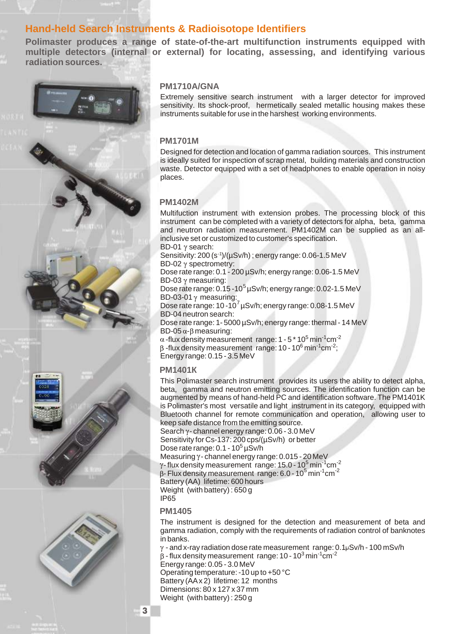# **Hand-held Search Instruments & Radioisotope Identifiers**

**Polimaster produces a range of state-of-the-art multifunction instruments equipped with multiple detectors (internal or external) for locating, assessing, and identifying various radiation sources.** 





#### 1710 /GNA

Extremely sensitive search instrument with a larger detector for improved sensitivity. Its shock-proof, hermetically sealed metallic housing makes these instruments suitable for use in the harshest working environments.

#### **1701**

Designed for detection and location of gamma radiation sources. This instrument is ideally suited for inspection of scrap metal, building materials and construction waste. Detector equipped with a set of headphones to enable operation in noisy places.

#### **1402**

Multifuction instrument with extension probes. The processing block of this instrument can be completed with a variety of detectors for alpha, beta, gamma and neutron radiation measurement. PM1402M can be supplied as an allinclusive set or customized to customer's specification.

 $BD-01$   $\gamma$  search: Sensitivity: 200 (s-1)/(µSv/h) ; energy range: 0.06-1.5 MeV BD-02  $\gamma$  spectrometry: Dose rate range: 0.1 - 200 µSv/h; energy range: 0.06-1.5 MeV BD-03  $\gamma$  measuring: Dose rate range:  $0.15 - 10^5$  µSv/h; energy range: 0.02-1.5 MeV BD-03-01 $\gamma$  measuring: Dose rate range:  $10 - 10^7$   $\mu$ Sv/h; energy range: 0.08-1.5 MeV BD-04 neutron search: Dose rate range: 1- 5000 µSv/h; energy range: thermal - 14 MeV  $BD-05 \alpha - \beta$  measuring:  $\alpha$  -flux density measurement range: 1 - 5  $^{\star}$  10<sup>5</sup> min<sup>-1</sup>cm<sup>-2</sup>  $\beta$  -flux density measurement range: 10 - 10<sup>6</sup> min<sup>-1</sup>cm<sup>-2</sup>; Energy range: 0.15 - 3.5 MeV

#### **М1401К**

This Polimaster search instrument provides its users the ability to detect alpha, beta, gamma and neutron emitting sources. The identification function can be augmented by means of hand-held PC and identification software. The PM1401K is Polimaster's most versatile and light instrument in its category, equipped with Bluetooth channel for remote communication and operation, allowing user to keep safe distance from the emitting source. Search  $\gamma$ - channel energy range: 0.06 - 3.0 MeV

Sensitivity for Cs-137: 200 cps/(µSv/h) or better Dose rate range:  $0.1 - 10^5 \mu Sv/h$ Measuring  $\gamma$ -channel energy range: 0.015 - 20 MeV  $\gamma$ -flux density measurement range: 15.0 - 10<sup>5</sup> min<sup>-1</sup>cm<sup>-2</sup>  $3$ - Flux density measurement range: 6.0 - 10<sup>5</sup> min<sup>-1</sup>cm<sup>-2</sup> Battery (AA) lifetime: 600 hours Weight (with battery) : 650 g

IP65

**М1405**

The instrument is designed for the detection and measurement of beta and gamma radiation, comply with the requirements of radiation control of banknotes in banks.

 $\gamma$  - and x-ray radiation dose rate measurement range: 0.1 $\mu$ Sv/h - 100 mSv/h  $\beta$  - flux density measurement range: 10 - 10<sup>3</sup> min<sup>-1</sup> cm<sup>-2</sup> Energy range: 0.05 - 3.0 MeV Operating temperature: -10 up to +50 °C Battery (AAx 2) lifetime: 12 months Dimensions: 80 x 127 x 37 mm Weight (with battery) : 250 g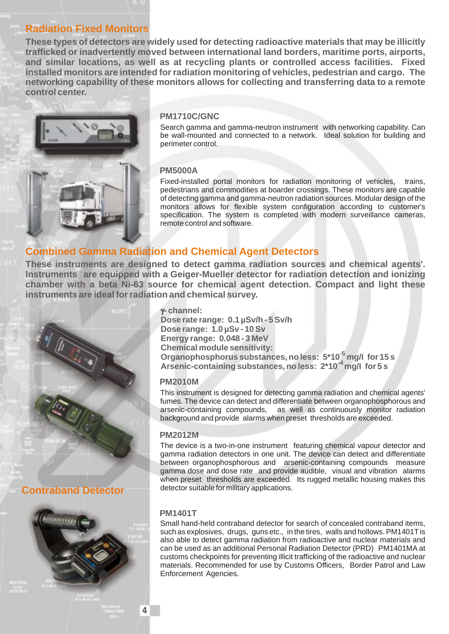# **Radiation Fixed Monitors**

**These types of detectors are widely used for detecting radioactive materials that may be illicitly trafficked or inadvertently moved between international land borders, maritime ports, airports, and similar locations, as well as at recycling plants or controlled access facilities. Fixed installed monitors are intended for radiation monitoring of vehicles, pedestrian and cargo. The networking capability of these monitors allows for collecting and transferring data to a remote control center.** 



#### **1710 /GNC**

Search gamma and gamma-neutron instrument with networking capability. Can be wall-mounted and connected to a network. Ideal solution for building and perimeter control.

#### 5000

Fixed-installed portal monitors for radiation monitoring of vehicles, trains, pedestrians and commodities at boarder crossings. These monitors are capable of detecting gamma and gamma-neutron radiation sources. Modular design of the monitors allows for flexible system configuration according to customer's specification. The system is completed with modern surveillance cameras, remote control and software.

## **Combined Gamma Radiation and Chemical Agent Detectors**

**These instruments are designed to detect gamma radiation sources and chemical agents'. Instruments are equipped with a Geiger-Mueller detector for radiation detection and ionizing chamber with a beta Ni-63 source for chemical agent detection. Compact and light these instruments are ideal for radiation and chemical survey.**

![](_page_4_Picture_9.jpeg)

**Contraband Detector**

![](_page_4_Picture_11.jpeg)

 **- channel: Dose rate range: 0.1 µSv/h - 5 Sv/h Dose range: 1.0 µSv - 10 Sv Energy range: 0.048 - 3 MeV Chemical module sensitivity: Organophosphorus substances, no less: 5\*10<sup>-5</sup> mg/l for 15 s -4 Arsenic-containing substances, no less: 2\*10 mg/I for 5 s** 

#### **2010**

This instrument is designed for detecting gamma radiation and chemical agents' fumes. The device can detect and differentiate between organophosphorous and arsenic-containing compounds, as well as continuously monitor radiation background and provide alarms when preset thresholds are exceeded.

#### **2012**

The device is a two-in-one instrument featuring chemical vapour detector and gamma radiation detectors in one unit. The device can detect and differentiate between organophosphorous and arsenic-containing compounds measure gamma dose and dose rate and provide audible, visual and vibration alarms when preset thresholds are exceeded. Its rugged metallic housing makes this detector suitable for military applications.

#### **М1401T**

Small hand-held contraband detector for search of concealed contraband items, such as explosives, drugs, guns etc., in the tires, walls and hollows. PM1401T is also able to detect gamma radiation from radioactive and nuclear materials and can be used as an additional Personal Radiation Detector (PRD) PM1401MA at customs checkpoints for preventing illicit trafficking of the radioactive and nuclear materials. Recommended for use by Customs Officers, Border Patrol and Law Enforcement Agencies.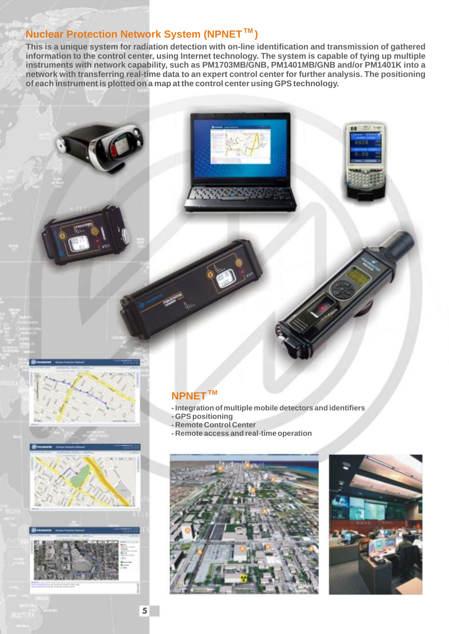# **Nuclear Protection Network System (NPNET** )

**This is a unique system for radiation detection with on-line identification and transmission of gathered information to the control center, using Internet technology. The system is capable of tying up multiple instruments with network capability, such as PM1703MB/GNB, PM1401MB/GNB and/or PM1401K into a network with transferring real-time data to an expert control center for further analysis. The positioning of each instrument is plotted on a map at the control center using GPS technology.**

![](_page_5_Picture_2.jpeg)

![](_page_5_Picture_3.jpeg)

![](_page_5_Picture_4.jpeg)

# **ТМ NPNET**

- **Integration of multiple mobile detectors and identifiers**
- **GPS positioning**
- **Remote Control Center**
- **Remote access and real-time operation**

![](_page_5_Picture_11.jpeg)

![](_page_5_Picture_12.jpeg)

5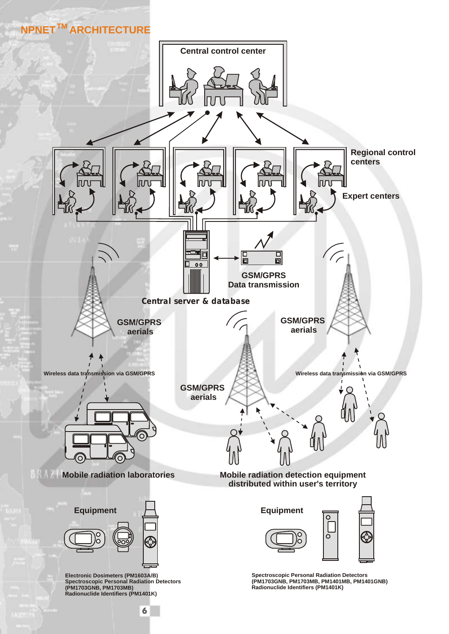# **TM NPNET ARCHITECTURE**

![](_page_6_Figure_1.jpeg)